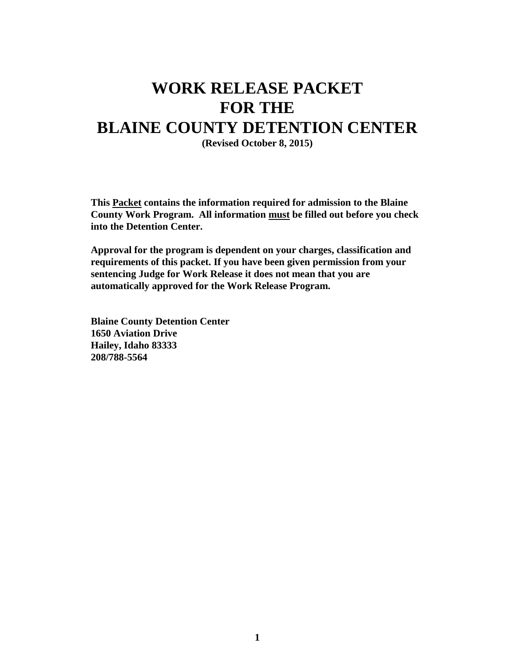# **WORK RELEASE PACKET FOR THE BLAINE COUNTY DETENTION CENTER**

**(Revised October 8, 2015)**

**This Packet contains the information required for admission to the Blaine County Work Program. All information must be filled out before you check into the Detention Center.**

**Approval for the program is dependent on your charges, classification and requirements of this packet. If you have been given permission from your sentencing Judge for Work Release it does not mean that you are automatically approved for the Work Release Program.**

**Blaine County Detention Center 1650 Aviation Drive Hailey, Idaho 83333 208/788-5564**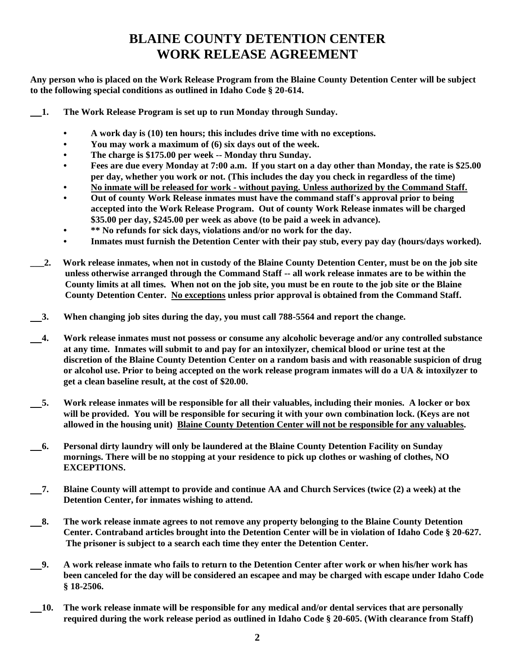### **BLAINE COUNTY DETENTION CENTER WORK RELEASE AGREEMENT**

**Any person who is placed on the Work Release Program from the Blaine County Detention Center will be subject to the following special conditions as outlined in Idaho Code § 20-614.**

- **1. The Work Release Program is set up to run Monday through Sunday.**
	- **• A work day is (10) ten hours; this includes drive time with no exceptions.**
	- **• You may work a maximum of (6) six days out of the week.**
	- **• The charge is \$175.00 per week -- Monday thru Sunday.**
	- **• Fees are due every Monday at 7:00 a.m. If you start on a day other than Monday, the rate is \$25.00 per day, whether you work or not. (This includes the day you check in regardless of the time)**
	- **• No inmate will be released for work - without paying. Unless authorized by the Command Staff.**
	- **• Out of county Work Release inmates must have the command staff's approval prior to being accepted into the Work Release Program. Out of county Work Release inmates will be charged \$35.00 per day, \$245.00 per week as above (to be paid a week in advance).**
	- **• \*\* No refunds for sick days, violations and/or no work for the day.**
	- **• Inmates must furnish the Detention Center with their pay stub, every pay day (hours/days worked).**
- **\_\_\_2. Work release inmates, when not in custody of the Blaine County Detention Center, must be on the job site unless otherwise arranged through the Command Staff -- all work release inmates are to be within the County limits at all times. When not on the job site, you must be en route to the job site or the Blaine County Detention Center. No exceptions unless prior approval is obtained from the Command Staff.**
- **3. When changing job sites during the day, you must call 788-5564 and report the change.**
- **4. Work release inmates must not possess or consume any alcoholic beverage and/or any controlled substance at any time. Inmates will submit to and pay for an intoxilyzer, chemical blood or urine test at the discretion of the Blaine County Detention Center on a random basis and with reasonable suspicion of drug or alcohol use. Prior to being accepted on the work release program inmates will do a UA & intoxilyzer to get a clean baseline result, at the cost of \$20.00.**
- **5. Work release inmates will be responsible for all their valuables, including their monies. A locker or box will be provided. You will be responsible for securing it with your own combination lock. (Keys are not allowed in the housing unit) Blaine County Detention Center will not be responsible for any valuables.**
- **6. Personal dirty laundry will only be laundered at the Blaine County Detention Facility on Sunday mornings. There will be no stopping at your residence to pick up clothes or washing of clothes, NO EXCEPTIONS.**
- **7. Blaine County will attempt to provide and continue AA and Church Services (twice (2) a week) at the Detention Center, for inmates wishing to attend.**
- **8. The work release inmate agrees to not remove any property belonging to the Blaine County Detention Center. Contraband articles brought into the Detention Center will be in violation of Idaho Code § 20-627. The prisoner is subject to a search each time they enter the Detention Center.**
- **9. A work release inmate who fails to return to the Detention Center after work or when his/her work has been canceled for the day will be considered an escapee and may be charged with escape under Idaho Code § 18-2506.**
- **10. The work release inmate will be responsible for any medical and/or dental services that are personally required during the work release period as outlined in Idaho Code § 20-605. (With clearance from Staff)**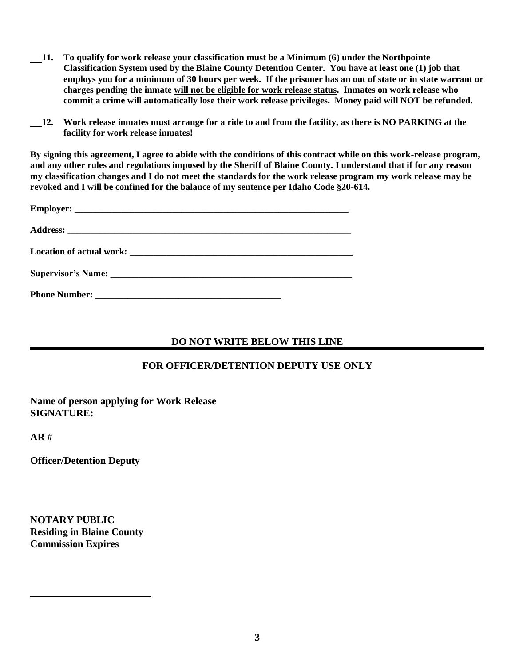- **11. To qualify for work release your classification must be a Minimum (6) under the Northpointe Classification System used by the Blaine County Detention Center. You have at least one (1) job that employs you for a minimum of 30 hours per week. If the prisoner has an out of state or in state warrant or charges pending the inmate will not be eligible for work release status. Inmates on work release who commit a crime will automatically lose their work release privileges. Money paid will NOT be refunded.**
- **12. Work release inmates must arrange for a ride to and from the facility, as there is NO PARKING at the facility for work release inmates!**

**By signing this agreement, I agree to abide with the conditions of this contract while on this work-release program, and any other rules and regulations imposed by the Sheriff of Blaine County. I understand that if for any reason my classification changes and I do not meet the standards for the work release program my work release may be revoked and I will be confined for the balance of my sentence per Idaho Code §20-614.** 

#### **DO NOT WRITE BELOW THIS LINE**

#### **FOR OFFICER/DETENTION DEPUTY USE ONLY**

**Name of person applying for Work Release SIGNATURE:**

**AR #**

**Officer/Detention Deputy**

**NOTARY PUBLIC Residing in Blaine County Commission Expires**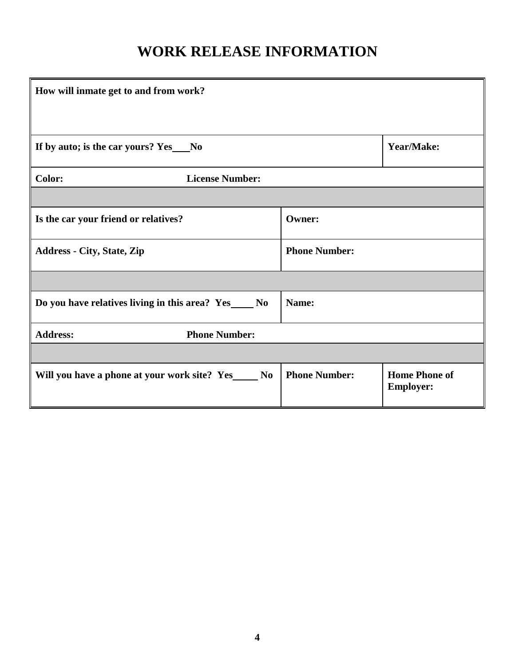# **WORK RELEASE INFORMATION**

| How will inmate get to and from work?                   |                      |                                          |
|---------------------------------------------------------|----------------------|------------------------------------------|
|                                                         |                      |                                          |
| If by auto; is the car yours? Yes__No                   |                      | Year/Make:                               |
| <b>License Number:</b><br><b>Color:</b>                 |                      |                                          |
|                                                         |                      |                                          |
| Is the car your friend or relatives?                    | <b>Owner:</b>        |                                          |
| <b>Address - City, State, Zip</b>                       | <b>Phone Number:</b> |                                          |
|                                                         |                      |                                          |
| Do you have relatives living in this area? Yes______ No | Name:                |                                          |
| <b>Phone Number:</b><br><b>Address:</b>                 |                      |                                          |
|                                                         |                      |                                          |
| Will you have a phone at your work site? Yes______ No   | <b>Phone Number:</b> | <b>Home Phone of</b><br><b>Employer:</b> |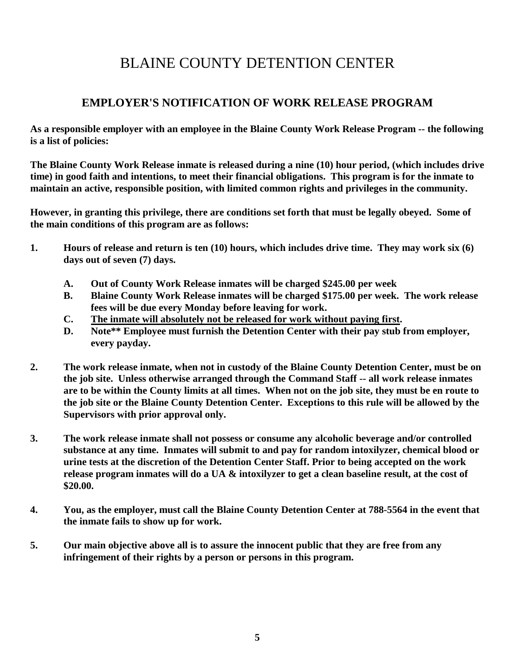## BLAINE COUNTY DETENTION CENTER

#### **EMPLOYER'S NOTIFICATION OF WORK RELEASE PROGRAM**

**As a responsible employer with an employee in the Blaine County Work Release Program -- the following is a list of policies:**

**The Blaine County Work Release inmate is released during a nine (10) hour period, (which includes drive time) in good faith and intentions, to meet their financial obligations. This program is for the inmate to maintain an active, responsible position, with limited common rights and privileges in the community.**

**However, in granting this privilege, there are conditions set forth that must be legally obeyed. Some of the main conditions of this program are as follows:**

- **1. Hours of release and return is ten (10) hours, which includes drive time. They may work six (6) days out of seven (7) days.**
	- **A. Out of County Work Release inmates will be charged \$245.00 per week**
	- **B. Blaine County Work Release inmates will be charged \$175.00 per week. The work release fees will be due every Monday before leaving for work.**
	- **C. The inmate will absolutely not be released for work without paying first.**
	- **D. Note\*\* Employee must furnish the Detention Center with their pay stub from employer, every payday.**
- **2. The work release inmate, when not in custody of the Blaine County Detention Center, must be on the job site. Unless otherwise arranged through the Command Staff -- all work release inmates are to be within the County limits at all times. When not on the job site, they must be en route to the job site or the Blaine County Detention Center. Exceptions to this rule will be allowed by the Supervisors with prior approval only.**
- **3. The work release inmate shall not possess or consume any alcoholic beverage and/or controlled substance at any time. Inmates will submit to and pay for random intoxilyzer, chemical blood or urine tests at the discretion of the Detention Center Staff. Prior to being accepted on the work release program inmates will do a UA & intoxilyzer to get a clean baseline result, at the cost of \$20.00.**
- **4. You, as the employer, must call the Blaine County Detention Center at 788-5564 in the event that the inmate fails to show up for work.**
- **5. Our main objective above all is to assure the innocent public that they are free from any infringement of their rights by a person or persons in this program.**